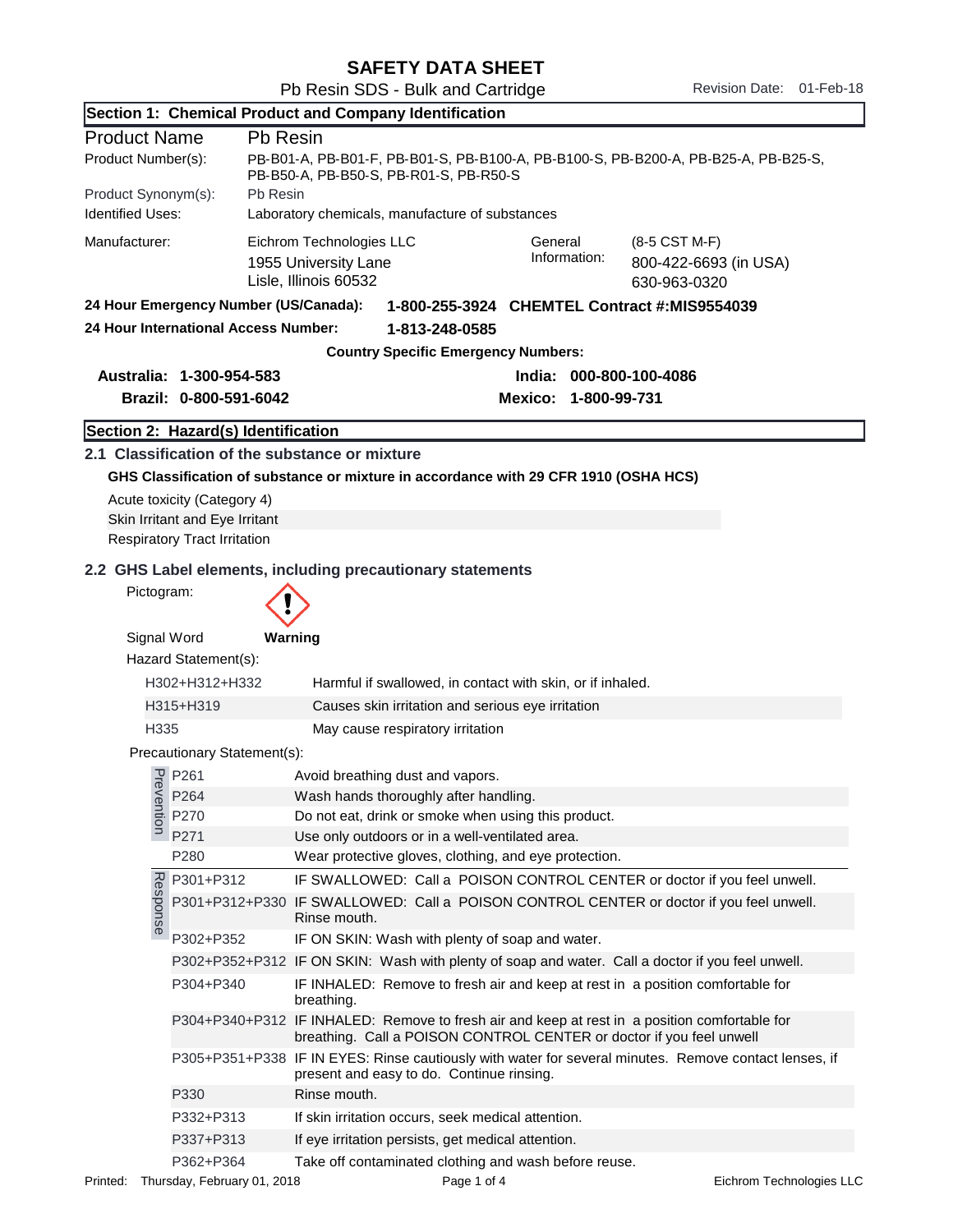| <b>SAFETY DATA SHEET</b> |  |  |
|--------------------------|--|--|
|--------------------------|--|--|

|                                                                                       |                                                                                                      | Section 1: Chemical Product and Company Identification                                                                                                                              |  |
|---------------------------------------------------------------------------------------|------------------------------------------------------------------------------------------------------|-------------------------------------------------------------------------------------------------------------------------------------------------------------------------------------|--|
| <b>Product Name</b>                                                                   | Pb Resin                                                                                             |                                                                                                                                                                                     |  |
| Product Number(s):                                                                    |                                                                                                      | PB-B01-A, PB-B01-F, PB-B01-S, PB-B100-A, PB-B100-S, PB-B200-A, PB-B25-A, PB-B25-S,<br>PB-B50-A, PB-B50-S, PB-R01-S, PB-R50-S                                                        |  |
| Pb Resin<br>Product Synonym(s):                                                       |                                                                                                      |                                                                                                                                                                                     |  |
| <b>Identified Uses:</b><br>Laboratory chemicals, manufacture of substances            |                                                                                                      |                                                                                                                                                                                     |  |
| Manufacturer:                                                                         |                                                                                                      | Eichrom Technologies LLC<br>General<br>(8-5 CST M-F)<br>Information:<br>800-422-6693 (in USA)<br>1955 University Lane<br>Lisle, Illinois 60532<br>630-963-0320                      |  |
| 24 Hour Emergency Number (US/Canada):<br>1-800-255-3924 CHEMTEL Contract #:MIS9554039 |                                                                                                      |                                                                                                                                                                                     |  |
|                                                                                       | 24 Hour International Access Number:                                                                 | 1-813-248-0585                                                                                                                                                                      |  |
|                                                                                       |                                                                                                      | <b>Country Specific Emergency Numbers:</b>                                                                                                                                          |  |
| Australia: 1-300-954-583<br>India: 000-800-100-4086                                   |                                                                                                      |                                                                                                                                                                                     |  |
|                                                                                       | Brazil: 0-800-591-6042                                                                               | Mexico: 1-800-99-731                                                                                                                                                                |  |
|                                                                                       | Section 2: Hazard(s) Identification                                                                  |                                                                                                                                                                                     |  |
|                                                                                       | Acute toxicity (Category 4)<br>Skin Irritant and Eye Irritant<br><b>Respiratory Tract Irritation</b> | 2.1 Classification of the substance or mixture<br>GHS Classification of substance or mixture in accordance with 29 CFR 1910 (OSHA HCS)                                              |  |
| Pictogram:                                                                            |                                                                                                      | 2.2 GHS Label elements, including precautionary statements                                                                                                                          |  |
| Signal Word                                                                           | Hazard Statement(s):                                                                                 | Warning                                                                                                                                                                             |  |
|                                                                                       | H302+H312+H332                                                                                       | Harmful if swallowed, in contact with skin, or if inhaled.                                                                                                                          |  |
|                                                                                       | H315+H319                                                                                            | Causes skin irritation and serious eye irritation                                                                                                                                   |  |
| H335                                                                                  |                                                                                                      | May cause respiratory irritation                                                                                                                                                    |  |
|                                                                                       | Precautionary Statement(s):                                                                          |                                                                                                                                                                                     |  |
|                                                                                       | $\frac{1}{6}$ P261                                                                                   | Avoid breathing dust and vapors.                                                                                                                                                    |  |
|                                                                                       | P264                                                                                                 | Wash hands thoroughly after handling.                                                                                                                                               |  |
| ention                                                                                | P270                                                                                                 | Do not eat, drink or smoke when using this product.                                                                                                                                 |  |
|                                                                                       | P271                                                                                                 | Use only outdoors or in a well-ventilated area.                                                                                                                                     |  |
|                                                                                       | P280                                                                                                 | Wear protective gloves, clothing, and eye protection.                                                                                                                               |  |
| Response                                                                              | P301+P312                                                                                            | IF SWALLOWED: Call a POISON CONTROL CENTER or doctor if you feel unwell.<br>P301+P312+P330 IF SWALLOWED: Call a POISON CONTROL CENTER or doctor if you feel unwell.<br>Rinse mouth. |  |
|                                                                                       | P302+P352                                                                                            | IF ON SKIN: Wash with plenty of soap and water.                                                                                                                                     |  |
|                                                                                       |                                                                                                      | P302+P352+P312 IF ON SKIN: Wash with plenty of soap and water. Call a doctor if you feel unwell.                                                                                    |  |
|                                                                                       | P304+P340                                                                                            | IF INHALED: Remove to fresh air and keep at rest in a position comfortable for<br>breathing.                                                                                        |  |
|                                                                                       |                                                                                                      | P304+P340+P312 IF INHALED: Remove to fresh air and keep at rest in a position comfortable for<br>breathing. Call a POISON CONTROL CENTER or doctor if you feel unwell               |  |
|                                                                                       |                                                                                                      | P305+P351+P338 IF IN EYES: Rinse cautiously with water for several minutes. Remove contact lenses, if<br>present and easy to do. Continue rinsing.                                  |  |
|                                                                                       | P330                                                                                                 | Rinse mouth.                                                                                                                                                                        |  |
|                                                                                       | P332+P313                                                                                            | If skin irritation occurs, seek medical attention.                                                                                                                                  |  |
|                                                                                       | P337+P313                                                                                            | If eye irritation persists, get medical attention.                                                                                                                                  |  |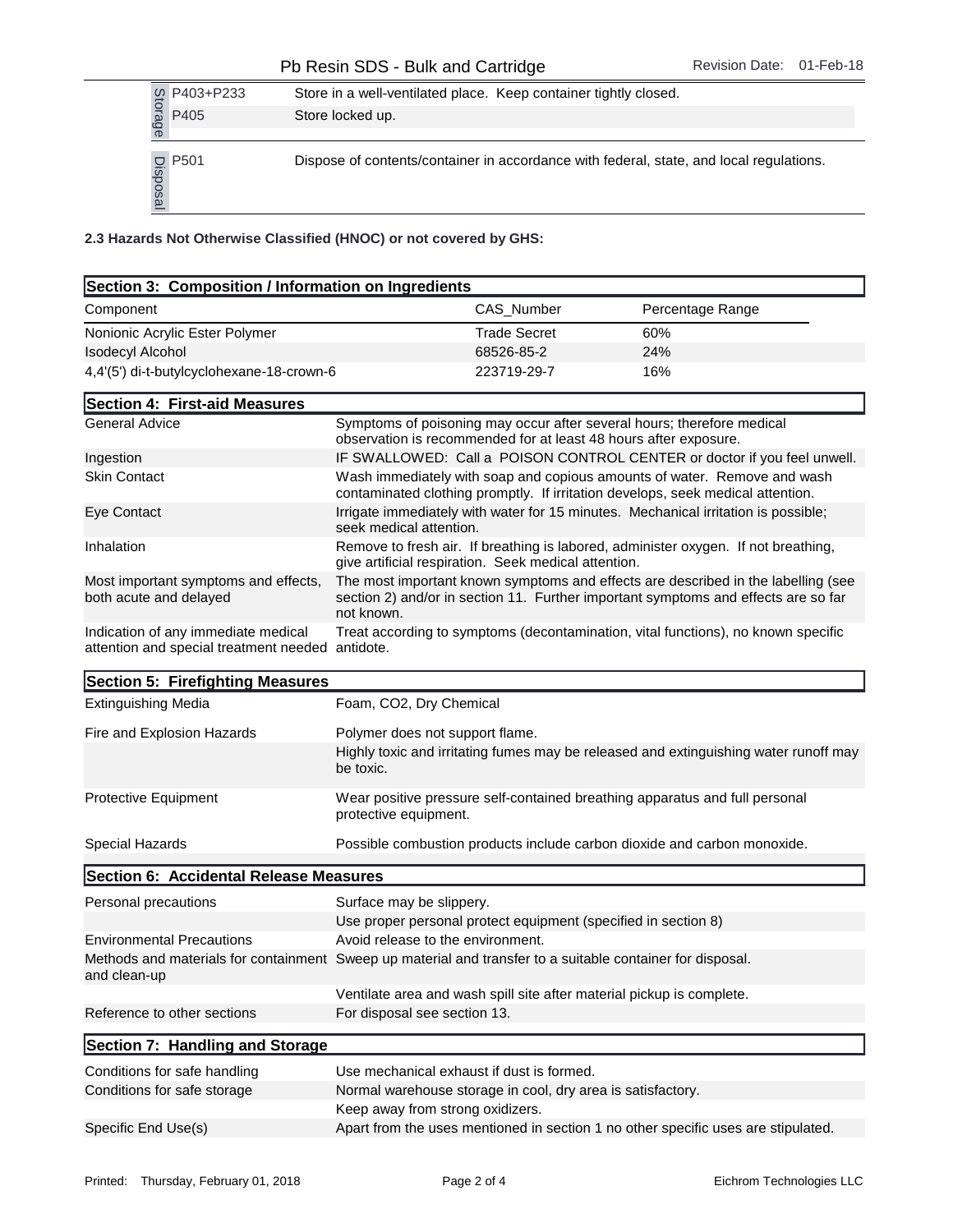|                                                                    |                 | P403+P233                                 | Store in a well-ventilated place. Keep container tightly closed. |                     |                                                                                         |
|--------------------------------------------------------------------|-----------------|-------------------------------------------|------------------------------------------------------------------|---------------------|-----------------------------------------------------------------------------------------|
|                                                                    | Storage         | P405                                      | Store locked up.                                                 |                     |                                                                                         |
|                                                                    |                 |                                           |                                                                  |                     |                                                                                         |
|                                                                    | 므.<br>sods<br>உ | P501                                      |                                                                  |                     | Dispose of contents/container in accordance with federal, state, and local regulations. |
| 2.3 Hazards Not Otherwise Classified (HNOC) or not covered by GHS: |                 |                                           |                                                                  |                     |                                                                                         |
| Section 3: Composition / Information on Ingredients                |                 |                                           |                                                                  |                     |                                                                                         |
| Component                                                          |                 |                                           |                                                                  | CAS Number          | Percentage Range                                                                        |
|                                                                    |                 | Nonionic Acrylic Ester Polymer            |                                                                  | <b>Trade Secret</b> | 60%                                                                                     |
| <b>Isodecyl Alcohol</b>                                            |                 |                                           |                                                                  | 68526-85-2          | 24%                                                                                     |
|                                                                    |                 | 4,4'(5') di-t-butylcyclohexane-18-crown-6 |                                                                  | 223719-29-7         | 16%                                                                                     |

| Section 3: Composition / Information on Ingredients                                                                        |                                                                  |                     |                                                                                                                                                                         |
|----------------------------------------------------------------------------------------------------------------------------|------------------------------------------------------------------|---------------------|-------------------------------------------------------------------------------------------------------------------------------------------------------------------------|
| Component                                                                                                                  |                                                                  | CAS_Number          | Percentage Range                                                                                                                                                        |
| Nonionic Acrylic Ester Polymer                                                                                             |                                                                  | <b>Trade Secret</b> | 60%                                                                                                                                                                     |
| <b>Isodecyl Alcohol</b>                                                                                                    |                                                                  | 68526-85-2          | 24%                                                                                                                                                                     |
| 4,4'(5') di-t-butylcyclohexane-18-crown-6                                                                                  |                                                                  | 223719-29-7         | 16%                                                                                                                                                                     |
| Section 4: First-aid Measures                                                                                              |                                                                  |                     |                                                                                                                                                                         |
| <b>General Advice</b>                                                                                                      | observation is recommended for at least 48 hours after exposure. |                     | Symptoms of poisoning may occur after several hours; therefore medical                                                                                                  |
| Ingestion                                                                                                                  |                                                                  |                     | IF SWALLOWED: Call a POISON CONTROL CENTER or doctor if you feel unwell.                                                                                                |
| <b>Skin Contact</b>                                                                                                        |                                                                  |                     | Wash immediately with soap and copious amounts of water. Remove and wash<br>contaminated clothing promptly. If irritation develops, seek medical attention.             |
| Eye Contact                                                                                                                | seek medical attention.                                          |                     | Irrigate immediately with water for 15 minutes. Mechanical irritation is possible;                                                                                      |
| Inhalation                                                                                                                 | give artificial respiration. Seek medical attention.             |                     | Remove to fresh air. If breathing is labored, administer oxygen. If not breathing,                                                                                      |
| Most important symptoms and effects,<br>both acute and delayed                                                             | not known.                                                       |                     | The most important known symptoms and effects are described in the labelling (see<br>section 2) and/or in section 11. Further important symptoms and effects are so far |
| Indication of any immediate medical<br>attention and special treatment needed antidote.                                    |                                                                  |                     | Treat according to symptoms (decontamination, vital functions), no known specific                                                                                       |
| Section 5: Firefighting Measures                                                                                           |                                                                  |                     |                                                                                                                                                                         |
| <b>Extinguishing Media</b>                                                                                                 | Foam, CO2, Dry Chemical                                          |                     |                                                                                                                                                                         |
| Fire and Explosion Hazards                                                                                                 | Polymer does not support flame.                                  |                     |                                                                                                                                                                         |
|                                                                                                                            | be toxic.                                                        |                     | Highly toxic and irritating fumes may be released and extinguishing water runoff may                                                                                    |
| Protective Equipment                                                                                                       | protective equipment.                                            |                     | Wear positive pressure self-contained breathing apparatus and full personal                                                                                             |
| Special Hazards                                                                                                            |                                                                  |                     | Possible combustion products include carbon dioxide and carbon monoxide.                                                                                                |
| Section 6: Accidental Release Measures                                                                                     |                                                                  |                     |                                                                                                                                                                         |
| Personal precautions                                                                                                       | Surface may be slippery.                                         |                     |                                                                                                                                                                         |
|                                                                                                                            | Use proper personal protect equipment (specified in section 8)   |                     |                                                                                                                                                                         |
| <b>Environmental Precautions</b>                                                                                           | Avoid release to the environment.                                |                     |                                                                                                                                                                         |
| Methods and materials for containment Sweep up material and transfer to a suitable container for disposal.<br>and clean-up |                                                                  |                     |                                                                                                                                                                         |
|                                                                                                                            |                                                                  |                     | Ventilate area and wash spill site after material pickup is complete.                                                                                                   |
| Reference to other sections                                                                                                | For disposal see section 13.                                     |                     |                                                                                                                                                                         |
| Section 7: Handling and Storage                                                                                            |                                                                  |                     |                                                                                                                                                                         |
| Conditions for safe handling                                                                                               | Use mechanical exhaust if dust is formed.                        |                     |                                                                                                                                                                         |
| Conditions for safe storage                                                                                                | Normal warehouse storage in cool, dry area is satisfactory.      |                     |                                                                                                                                                                         |
|                                                                                                                            | Keep away from strong oxidizers.                                 |                     |                                                                                                                                                                         |
| Specific End Use(s)                                                                                                        |                                                                  |                     | Apart from the uses mentioned in section 1 no other specific uses are stipulated.                                                                                       |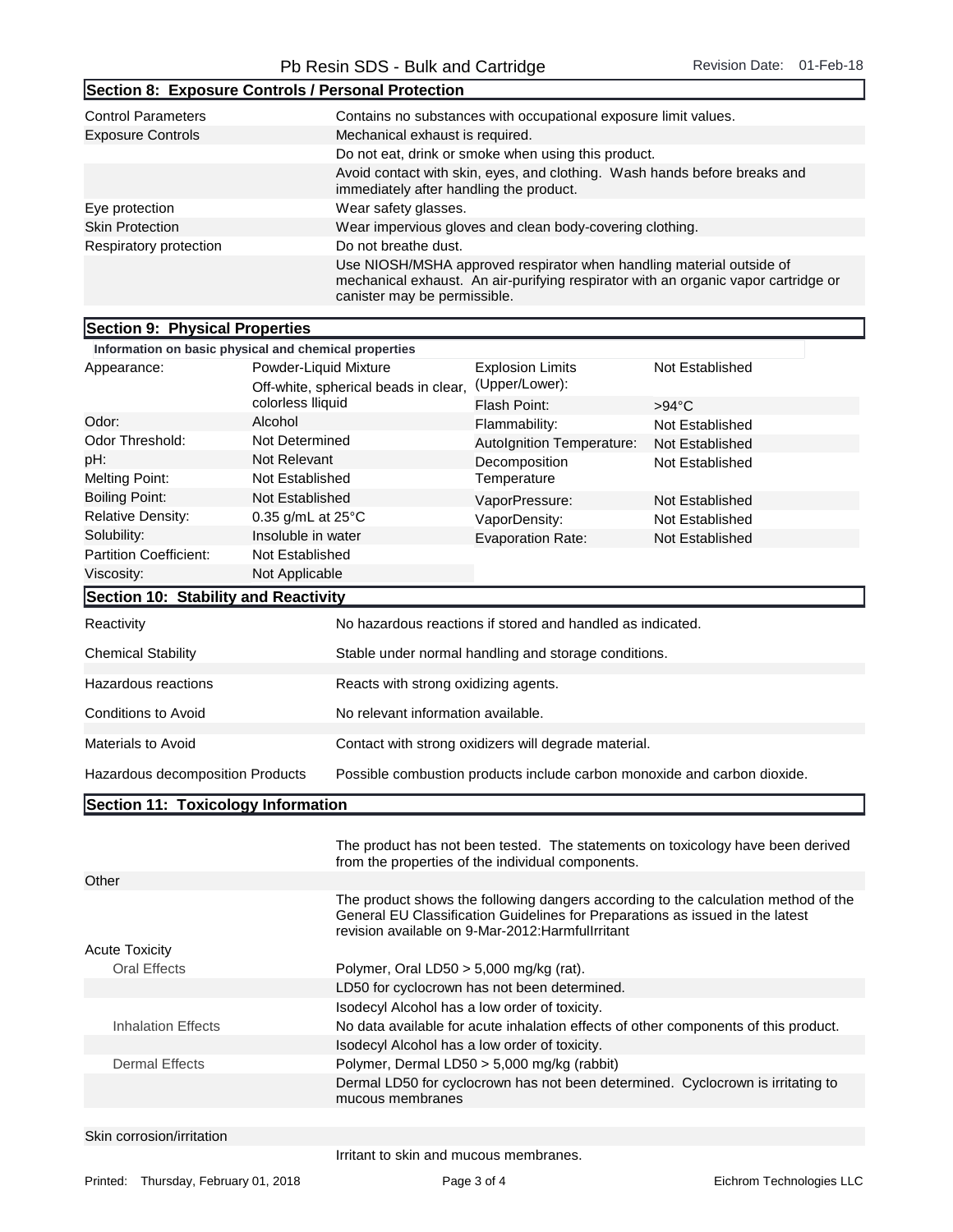|                                                       | Pb Resin SDS - Bulk and Cartridge                               |                                                                                                                                                                                            | <b>Revision Date:</b><br>01-Feb-18                                                 |  |  |
|-------------------------------------------------------|-----------------------------------------------------------------|--------------------------------------------------------------------------------------------------------------------------------------------------------------------------------------------|------------------------------------------------------------------------------------|--|--|
|                                                       | Section 8: Exposure Controls / Personal Protection              |                                                                                                                                                                                            |                                                                                    |  |  |
| <b>Control Parameters</b><br><b>Exposure Controls</b> | Mechanical exhaust is required.                                 | Contains no substances with occupational exposure limit values.<br>Do not eat, drink or smoke when using this product.                                                                     |                                                                                    |  |  |
|                                                       |                                                                 | Avoid contact with skin, eyes, and clothing. Wash hands before breaks and                                                                                                                  |                                                                                    |  |  |
| Eye protection                                        | immediately after handling the product.<br>Wear safety glasses. |                                                                                                                                                                                            |                                                                                    |  |  |
| <b>Skin Protection</b>                                |                                                                 | Wear impervious gloves and clean body-covering clothing.                                                                                                                                   |                                                                                    |  |  |
| Respiratory protection                                | Do not breathe dust.                                            |                                                                                                                                                                                            |                                                                                    |  |  |
|                                                       |                                                                 | Use NIOSH/MSHA approved respirator when handling material outside of<br>mechanical exhaust. An air-purifying respirator with an organic vapor cartridge or<br>canister may be permissible. |                                                                                    |  |  |
| Section 9: Physical Properties                        |                                                                 |                                                                                                                                                                                            |                                                                                    |  |  |
|                                                       | Information on basic physical and chemical properties           |                                                                                                                                                                                            |                                                                                    |  |  |
| Appearance:                                           | Powder-Liquid Mixture<br>Off-white, spherical beads in clear,   | <b>Explosion Limits</b><br>(Upper/Lower):                                                                                                                                                  | Not Established                                                                    |  |  |
|                                                       | colorless lliquid                                               | Flash Point:                                                                                                                                                                               | $>94^{\circ}$ C                                                                    |  |  |
| Odor:                                                 | Alcohol                                                         | Flammability:                                                                                                                                                                              | Not Established                                                                    |  |  |
| Odor Threshold:                                       | Not Determined                                                  | Autolgnition Temperature:                                                                                                                                                                  | Not Established                                                                    |  |  |
| pH:<br><b>Melting Point:</b>                          | Not Relevant<br>Not Established                                 | Decomposition<br>Temperature                                                                                                                                                               | Not Established                                                                    |  |  |
| <b>Boiling Point:</b>                                 | Not Established                                                 |                                                                                                                                                                                            |                                                                                    |  |  |
| <b>Relative Density:</b>                              | 0.35 g/mL at $25^{\circ}$ C                                     | VaporPressure:                                                                                                                                                                             | Not Established                                                                    |  |  |
| Solubility:                                           | Insoluble in water                                              | VaporDensity:                                                                                                                                                                              | Not Established                                                                    |  |  |
| Partition Coefficient:                                | Not Established                                                 | Evaporation Rate:                                                                                                                                                                          | Not Established                                                                    |  |  |
| Viscosity:                                            | Not Applicable                                                  |                                                                                                                                                                                            |                                                                                    |  |  |
| Section 10: Stability and Reactivity                  |                                                                 |                                                                                                                                                                                            |                                                                                    |  |  |
| Reactivity                                            |                                                                 | No hazardous reactions if stored and handled as indicated.                                                                                                                                 |                                                                                    |  |  |
| <b>Chemical Stability</b>                             |                                                                 | Stable under normal handling and storage conditions.                                                                                                                                       |                                                                                    |  |  |
| Hazardous reactions                                   |                                                                 | Reacts with strong oxidizing agents.                                                                                                                                                       |                                                                                    |  |  |
| Conditions to Avoid                                   |                                                                 | No relevant information available.                                                                                                                                                         |                                                                                    |  |  |
| Materials to Avoid                                    |                                                                 | Contact with strong oxidizers will degrade material.                                                                                                                                       |                                                                                    |  |  |
| Hazardous decomposition Products                      |                                                                 | Possible combustion products include carbon monoxide and carbon dioxide.                                                                                                                   |                                                                                    |  |  |
| Section 11: Toxicology Information                    |                                                                 |                                                                                                                                                                                            |                                                                                    |  |  |
|                                                       |                                                                 | from the properties of the individual components.                                                                                                                                          | The product has not been tested. The statements on toxicology have been derived    |  |  |
| Other                                                 |                                                                 |                                                                                                                                                                                            |                                                                                    |  |  |
|                                                       |                                                                 |                                                                                                                                                                                            | The product shows the following dangers according to the calculation method of the |  |  |

## Acute Toxicity

| <b>AUGE TUAILITY</b>     |                                                                                                     |
|--------------------------|-----------------------------------------------------------------------------------------------------|
| <b>Oral Effects</b>      | Polymer, Oral LD50 $>$ 5,000 mg/kg (rat).                                                           |
|                          | LD50 for cyclocrown has not been determined.                                                        |
|                          | Isodecyl Alcohol has a low order of toxicity.                                                       |
| Inhalation Effects       | No data available for acute inhalation effects of other components of this product.                 |
|                          | Isodecyl Alcohol has a low order of toxicity.                                                       |
| Dermal Effects           | Polymer, Dermal LD50 > 5,000 mg/kg (rabbit)                                                         |
|                          | Dermal LD50 for cyclocrown has not been determined. Cyclocrown is irritating to<br>mucous membranes |
|                          |                                                                                                     |
| Olde samesiae limitation |                                                                                                     |

revision available on 9-Mar-2012: Harmfullrritant

General EU Classification Guidelines for Preparations as issued in the latest

Skin corrosion/irritation

Irritant to skin and mucous membranes.